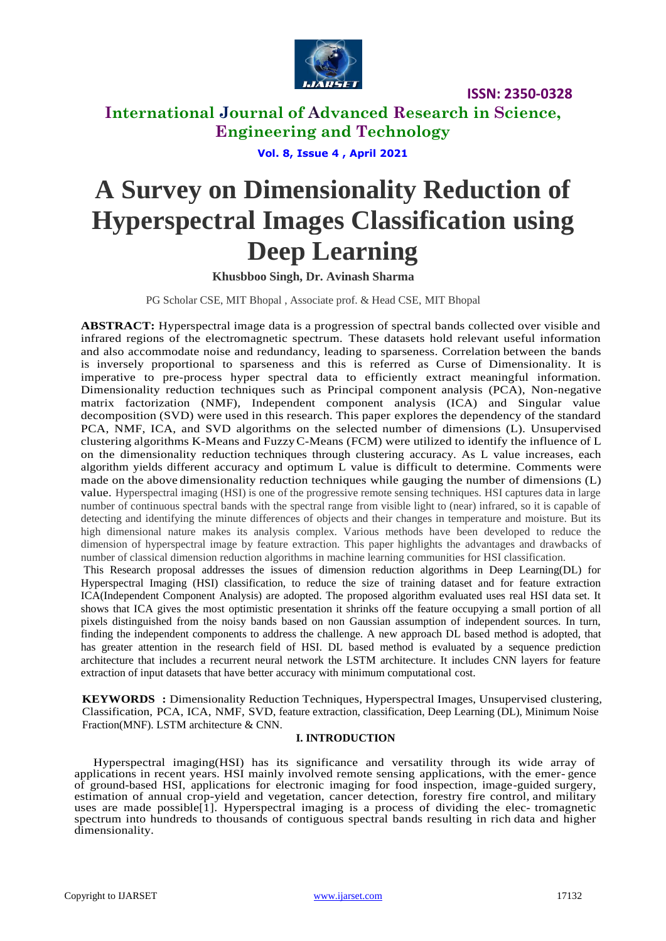

### **International Journal of Advanced Research in Science, Engineering and Technology**

**Vol. 8, Issue 4 , April 2021**

# **A Survey on Dimensionality Reduction of Hyperspectral Images Classification using Deep Learning**

### **Khusbboo Singh, Dr. Avinash Sharma**

PG Scholar CSE, MIT Bhopal , Associate prof. & Head CSE, MIT Bhopal

**ABSTRACT:** Hyperspectral image data is a progression of spectral bands collected over visible and infrared regions of the electromagnetic spectrum. These datasets hold relevant useful information and also accommodate noise and redundancy, leading to sparseness. Correlation between the bands is inversely proportional to sparseness and this is referred as Curse of Dimensionality. It is imperative to pre-process hyper spectral data to efficiently extract meaningful information. Dimensionality reduction techniques such as Principal component analysis (PCA), Non-negative matrix factorization (NMF), Independent component analysis (ICA) and Singular value decomposition (SVD) were used in this research. This paper explores the dependency of the standard PCA, NMF, ICA, and SVD algorithms on the selected number of dimensions (L). Unsupervised clustering algorithms K-Means and FuzzyC-Means (FCM) were utilized to identify the influence of L on the dimensionality reduction techniques through clustering accuracy. As L value increases, each algorithm yields different accuracy and optimum L value is difficult to determine. Comments were made on the above dimensionality reduction techniques while gauging the number of dimensions (L) value. Hyperspectral imaging (HSI) is one of the progressive remote sensing techniques. HSI captures data in large number of continuous spectral bands with the spectral range from visible light to (near) infrared, so it is capable of detecting and identifying the minute differences of objects and their changes in temperature and moisture. But its high dimensional nature makes its analysis complex. Various methods have been developed to reduce the dimension of hyperspectral image by feature extraction. This paper highlights the advantages and drawbacks of number of classical dimension reduction algorithms in machine learning communities for HSI classification.

This Research proposal addresses the issues of dimension reduction algorithms in Deep Learning(DL) for Hyperspectral Imaging (HSI) classification, to reduce the size of training dataset and for feature extraction ICA(Independent Component Analysis) are adopted. The proposed algorithm evaluated uses real HSI data set. It shows that ICA gives the most optimistic presentation it shrinks off the feature occupying a small portion of all pixels distinguished from the noisy bands based on non Gaussian assumption of independent sources. In turn, finding the independent components to address the challenge. A new approach DL based method is adopted, that has greater attention in the research field of HSI. DL based method is evaluated by a sequence prediction architecture that includes a recurrent neural network the LSTM architecture. It includes CNN layers for feature extraction of input datasets that have better accuracy with minimum computational cost.

**KEYWORDS :** Dimensionality Reduction Techniques, Hyperspectral Images, Unsupervised clustering, Classification, PCA, ICA, NMF, SVD, feature extraction, classification, Deep Learning (DL), Minimum Noise Fraction(MNF). LSTM architecture & CNN.

### **I. INTRODUCTION**

Hyperspectral imaging(HSI) has its significance and versatility through its wide array of applications in recent years. HSI mainly involved remote sensing applications, with the emer- gence of ground-based HSI, applications for electronic imaging for food inspection, image-guided surgery, estimation of annual crop-yield and vegetation, cancer detection, forestry fire control, and military uses are made possible[1]. Hyperspectral imaging is a process of dividing the elec- tromagnetic spectrum into hundreds to thousands of contiguous spectral bands resulting in rich data and higher dimensionality.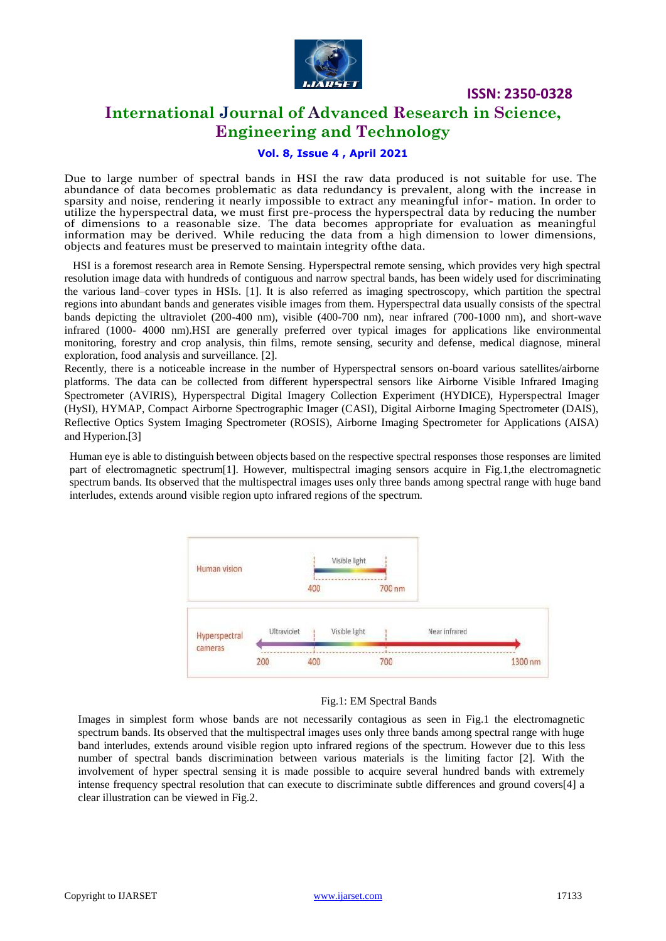

### **International Journal of Advanced Research in Science, Engineering and Technology**

### **Vol. 8, Issue 4 , April 2021**

Due to large number of spectral bands in HSI the raw data produced is not suitable for use. The abundance of data becomes problematic as data redundancy is prevalent, along with the increase in sparsity and noise, rendering it nearly impossible to extract any meaningful infor- mation. In order to utilize the hyperspectral data, we must first pre-process the hyperspectral data by reducing the number of dimensions to a reasonable size. The data becomes appropriate for evaluation as meaningful information may be derived. While reducing the data from a high dimension to lower dimensions, objects and features must be preserved to maintain integrity ofthe data.

 HSI is a foremost research area in Remote Sensing. Hyperspectral remote sensing, which provides very high spectral resolution image data with hundreds of contiguous and narrow spectral bands, has been widely used for discriminating the various land–cover types in HSIs. [1]. It is also referred as imaging spectroscopy, which partition the spectral regions into abundant bands and generates visible images from them. Hyperspectral data usually consists of the spectral bands depicting the ultraviolet (200-400 nm), visible (400-700 nm), near infrared (700-1000 nm), and short-wave infrared (1000- 4000 nm).HSI are generally preferred over typical images for applications like environmental monitoring, forestry and crop analysis, thin films, remote sensing, security and defense, medical diagnose, mineral exploration, food analysis and surveillance. [2].

Recently, there is a noticeable increase in the number of Hyperspectral sensors on-board various satellites/airborne platforms. The data can be collected from different hyperspectral sensors like Airborne Visible Infrared Imaging Spectrometer (AVIRIS), Hyperspectral Digital Imagery Collection Experiment (HYDICE), Hyperspectral Imager (HySI), HYMAP, Compact Airborne Spectrographic Imager (CASI), Digital Airborne Imaging Spectrometer (DAIS), Reflective Optics System Imaging Spectrometer (ROSIS), Airborne Imaging Spectrometer for Applications (AISA) and Hyperion.[3]

Human eye is able to distinguish between objects based on the respective spectral responses those responses are limited part of electromagnetic spectrum[1]. However, multispectral imaging sensors acquire in Fig.1,the electromagnetic spectrum bands. Its observed that the multispectral images uses only three bands among spectral range with huge band interludes, extends around visible region upto infrared regions of the spectrum.



### Fig.1: EM Spectral Bands

Images in simplest form whose bands are not necessarily contagious as seen in Fig.1 the electromagnetic spectrum bands. Its observed that the multispectral images uses only three bands among spectral range with huge band interludes, extends around visible region upto infrared regions of the spectrum. However due to this less number of spectral bands discrimination between various materials is the limiting factor [2]. With the involvement of hyper spectral sensing it is made possible to acquire several hundred bands with extremely intense frequency spectral resolution that can execute to discriminate subtle differences and ground covers[4] a clear illustration can be viewed in Fig.2.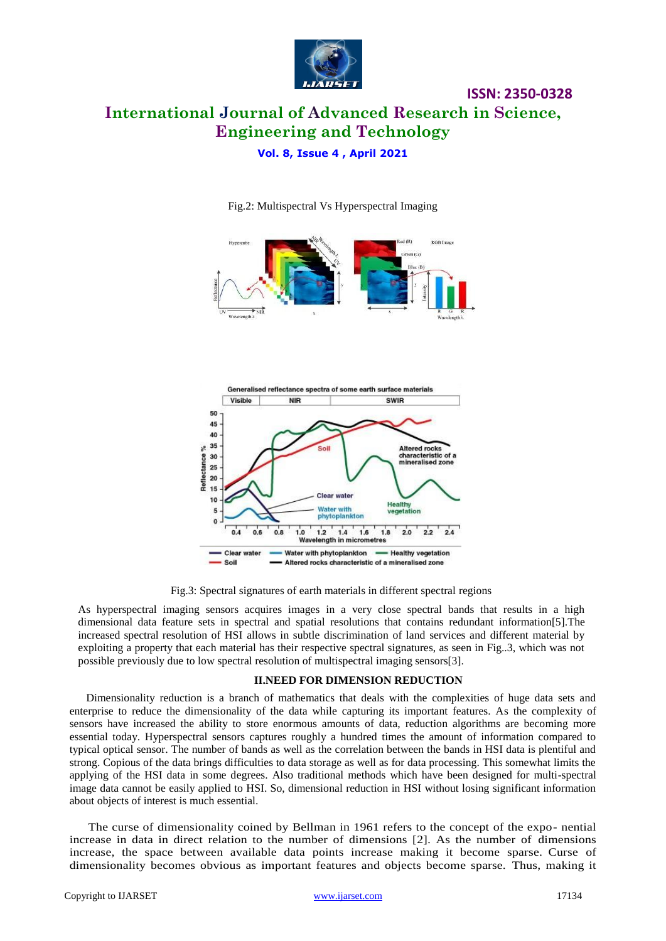

## **International Journal of Advanced Research in Science, Engineering and Technology**

**ISSN: 2350-0328**

**Vol. 8, Issue 4 , April 2021**



Fig.2: Multispectral Vs Hyperspectral Imaging



Fig.3: Spectral signatures of earth materials in different spectral regions

As hyperspectral imaging sensors acquires images in a very close spectral bands that results in a high dimensional data feature sets in spectral and spatial resolutions that contains redundant information[5].The increased spectral resolution of HSI allows in subtle discrimination of land services and different material by exploiting a property that each material has their respective spectral signatures, as seen in Fig..3, which was not possible previously due to low spectral resolution of multispectral imaging sensors[3].

### **II.NEED FOR DIMENSION REDUCTION**

Dimensionality reduction is a branch of mathematics that deals with the complexities of huge data sets and enterprise to reduce the dimensionality of the data while capturing its important features. As the complexity of sensors have increased the ability to store enormous amounts of data, reduction algorithms are becoming more essential today. Hyperspectral sensors captures roughly a hundred times the amount of information compared to typical optical sensor. The number of bands as well as the correlation between the bands in HSI data is plentiful and strong. Copious of the data brings difficulties to data storage as well as for data processing. This somewhat limits the applying of the HSI data in some degrees. Also traditional methods which have been designed for multi-spectral image data cannot be easily applied to HSI. So, dimensional reduction in HSI without losing significant information about objects of interest is much essential.

The curse of dimensionality coined by Bellman in 1961 refers to the concept of the expo- nential increase in data in direct relation to the number of dimensions [2]. As the number of dimensions increase, the space between available data points increase making it become sparse. Curse of dimensionality becomes obvious as important features and objects become sparse. Thus, making it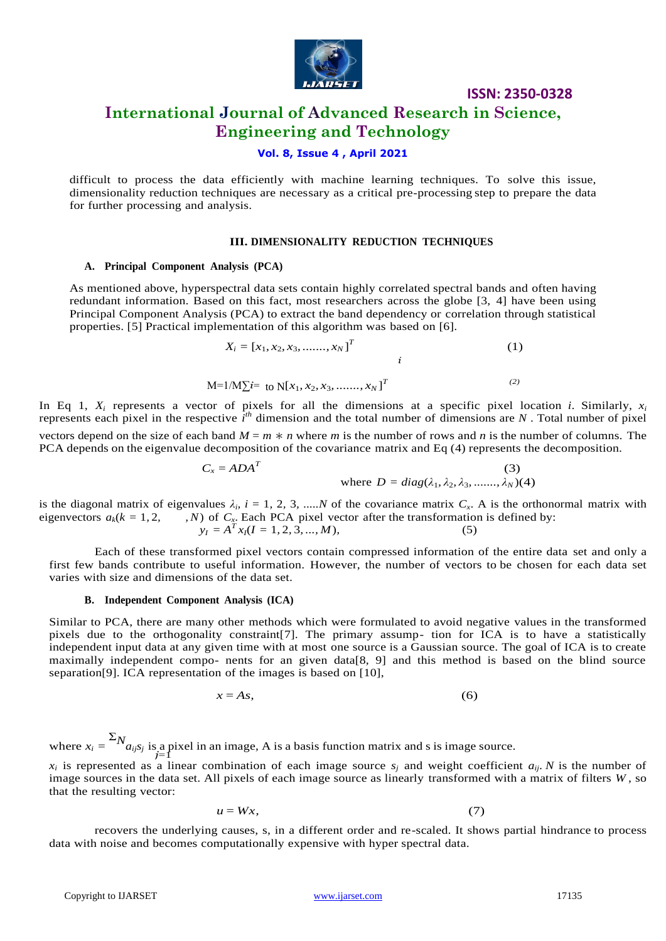

### **International Journal of Advanced Research in Science, Engineering and Technology**

### **Vol. 8, Issue 4 , April 2021**

difficult to process the data efficiently with machine learning techniques. To solve this issue, dimensionality reduction techniques are necessary as a critical pre-processing step to prepare the data for further processing and analysis.

### **III. DIMENSIONALITY REDUCTION TECHNIQUES**

#### **A. Principal Component Analysis (PCA)**

As mentioned above, hyperspectral data sets contain highly correlated spectral bands and often having redundant information. Based on this fact, most researchers across the globe [3, 4] have been using Principal Component Analysis (PCA) to extract the band dependency or correlation through statistical properties. [5] Practical implementation of this algorithm was based on [6].

$$
X_{i} = [x_{1}, x_{2}, x_{3}, \dots, x_{N}]^{T}
$$
  
\n
$$
i
$$
  
\n
$$
M=1/M\sum i= to N[x_{1}, x_{2}, x_{3}, \dots, x_{N}]^{T}
$$
  
\n(1)

In Eq 1,  $X_i$  represents a vector of pixels for all the dimensions at a specific pixel location *i*. Similarly,  $x_i$ represents each pixel in the respective  $\hat{i}^{th}$  dimension and the total number of dimensions are *N*. Total number of pixel vectors depend on the size of each band  $M = m * n$  where *m* is the number of rows and *n* is the number of columns. The PCA depends on the eigenvalue decomposition of the covariance matrix and Eq (4) represents the decomposition.

$$
C_x = ADA^T
$$
 (3)  
where  $D = diag(\lambda_1, \lambda_2, \lambda_3, \dots, \lambda_N)(4)$ 

is the diagonal matrix of eigenvalues  $\lambda_i$ ,  $i = 1, 2, 3, \dots N$  of the covariance matrix  $C_x$ . A is the orthonormal matrix with eigenvectors  $a_k(k = 1, 2, ...)$ . Each PCA pixel vector after the transformation is defined by:  $y_I = A^T x_I (I = 1, 2, 3, ..., M),$  (5)

Each of these transformed pixel vectors contain compressed information of the entire data set and only a first few bands contribute to useful information. However, the number of vectors to be chosen for each data set varies with size and dimensions of the data set.

#### **B. Independent Component Analysis (ICA)**

Similar to PCA, there are many other methods which were formulated to avoid negative values in the transformed pixels due to the orthogonality constraint[7]. The primary assump- tion for ICA is to have a statistically independent input data at any given time with at most one source is a Gaussian source. The goal of ICA is to create maximally independent compo- nents for an given data[8, 9] and this method is based on the blind source separation[9]. ICA representation of the images is based on [10],

$$
x = As,\tag{6}
$$

where  $x_i = \sum_{j=1}^{n} N_{a_{ij}s_j}$  is a pixel in an image, A is a basis function matrix and s is image source.

 $x_i$  is represented as a linear combination of each image source  $s_j$  and weight coefficient  $a_{ij}$ . *N* is the number of image sources in the data set. All pixels of each image source as linearly transformed with a matrix of filters *W* , so that the resulting vector:

$$
u = Wx,\tag{7}
$$

recovers the underlying causes, s, in a different order and re-scaled. It shows partial hindrance to process data with noise and becomes computationally expensive with hyper spectral data.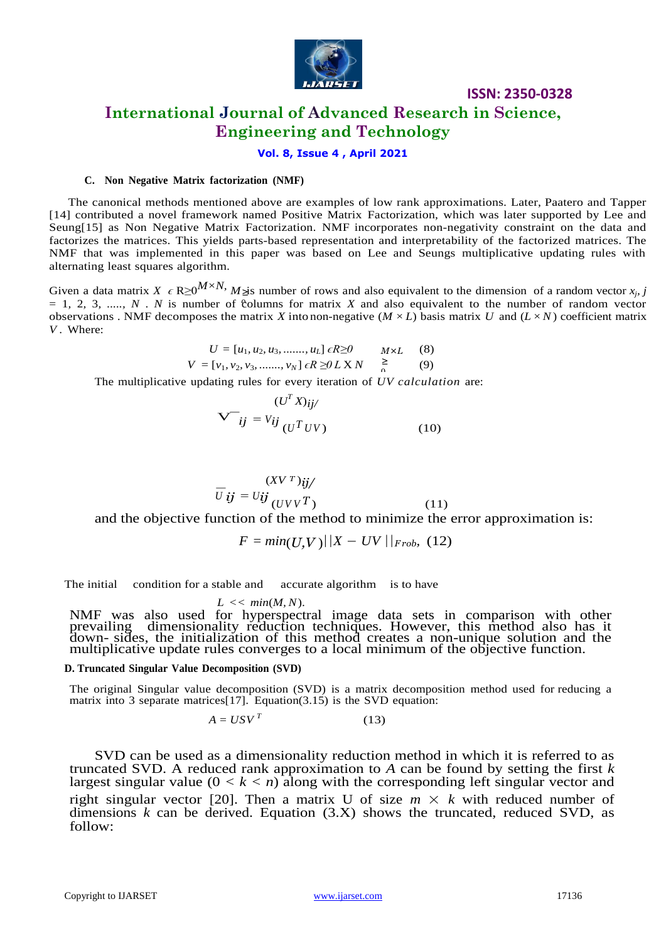

### **International Journal of Advanced Research in Science, Engineering and Technology**

### **Vol. 8, Issue 4 , April 2021**

### **C. Non Negative Matrix factorization (NMF)**

The canonical methods mentioned above are examples of low rank approximations. Later, Paatero and Tapper [14] contributed a novel framework named Positive Matrix Factorization, which was later supported by Lee and Seung[15] as Non Negative Matrix Factorization. NMF incorporates non-negativity constraint on the data and factorizes the matrices. This yields parts-based representation and interpretability of the factorized matrices. The NMF that was implemented in this paper was based on Lee and Seungs multiplicative updating rules with alternating least squares algorithm.

Given a data matrix *X*  $\epsilon$  R≥0<sup>*M*×*N*, *M*<sub>2</sub>is number of rows and also equivalent to the dimension of a random vector *x<sub>j</sub>*, *j*</sup>  $= 1, 2, 3, \ldots, N$ . *N* is number of columns for matrix *X* and also equivalent to the number of random vector observations . NMF decomposes the matrix *X* into non-negative  $(M \times L)$  basis matrix *U* and  $(L \times N)$  coefficient matrix *V* . Where:

$$
U = [u_1, u_2, u_3, \dots, u_L] \epsilon R \ge 0 \qquad M \times L \qquad (8)
$$
  

$$
V = [v_1, v_2, v_3, \dots, v_N] \epsilon R \ge 0 \qquad X \qquad \ge 0
$$

The multiplicative updating rules for every iteration of *UV calculation* are:

$$
\mathbf{V}^{-}i j = V_{ij} \frac{(U^{T} X)_{ij}}{(U^{T} U V)}
$$
(10)

$$
\overline{U} \mathbf{i} \mathbf{j} = U \mathbf{i} \mathbf{j} \frac{(X V^T) \mathbf{i} \mathbf{j}}{(UV V^T)}
$$
(11)

and the objective function of the method to minimize the error approximation is:

$$
F = min(U,V) \mid |X - UV| \mid_{Frob.} (12)
$$

The initial condition for a stable and accurate algorithm is to have

#### $L \ll \min(M, N)$ .

NMF was also used for hyperspectral image data sets in comparison with other prevailing dimensionality reduction techniques. However, this method also has it down- sides, the initialization of this method creates a non-unique solution and the multiplicative update rules converges to a local minimum of the objective function.

#### **D. Truncated Singular Value Decomposition (SVD)**

The original Singular value decomposition (SVD) is a matrix decomposition method used for reducing a matrix into 3 separate matrices[17]. Equation(3.15) is the SVD equation:

$$
A = USV^T \tag{13}
$$

SVD can be used as a dimensionality reduction method in which it is referred to as truncated SVD. A reduced rank approximation to *A* can be found by setting the first *k*  largest singular value  $(0 < k < n)$  along with the corresponding left singular vector and right singular vector [20]. Then a matrix U of size  $m \times k$  with reduced number of dimensions *k* can be derived. Equation (3.X) shows the truncated, reduced SVD, as follow: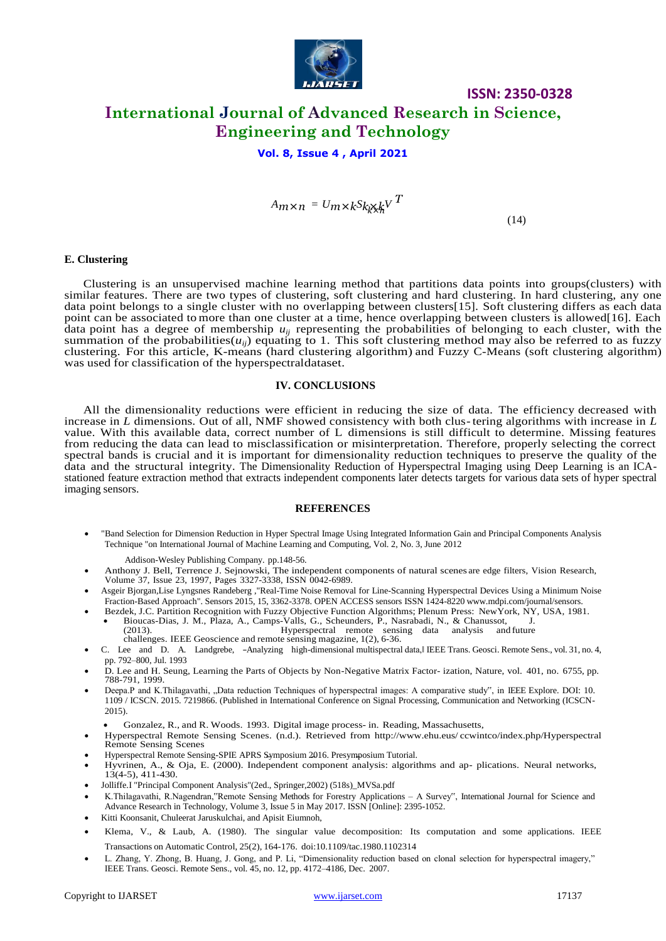

### **ISSN: 2350-0328 International Journal of Advanced Research in Science, Engineering and Technology**

### **Vol. 8, Issue 4 , April 2021**

*kx*<sub>*n*</sub>  $\times$  *n*  $\cdot$  *kSk*<sub>*k*</sub> $\times$ *k*<sup>*V*</sup> *T* 

 $(14)$ 

#### **E. Clustering**

Clustering is an unsupervised machine learning method that partitions data points into groups(clusters) with similar features. There are two types of clustering, soft clustering and hard clustering. In hard clustering, any one data point belongs to a single cluster with no overlapping between clusters[15]. Soft clustering differs as each data point can be associated to more than one cluster at a time, hence overlapping between clusters is allowed[16]. Each data point has a degree of membership  $u_{ij}$  representing the probabilities of belonging to each cluster, with the summation of the probabilities( $u_{ij}$ ) equating to 1. This soft clustering method may also be referred to as fuzzy clustering. For this article, K-means (hard clustering algorithm) and Fuzzy C-Means (soft clustering algorithm) was used for classification of the hyperspectraldataset.

### **IV. CONCLUSIONS**

All the dimensionality reductions were efficient in reducing the size of data. The efficiency decreased with increase in *L* dimensions. Out of all, NMF showed consistency with both clus-tering algorithms with increase in *L*  value. With this available data, correct number of L dimensions is still difficult to determine. Missing features from reducing the data can lead to misclassification or misinterpretation. Therefore, properly selecting the correct spectral bands is crucial and it is important for dimensionality reduction techniques to preserve the quality of the data and the structural integrity. The Dimensionality Reduction of Hyperspectral Imaging using Deep Learning is an ICAstationed feature extraction method that extracts independent components later detects targets for various data sets of hyper spectral imaging sensors.

#### **REFERENCES**

 "Band Selection for Dimension Reduction in Hyper Spectral Image Using Integrated Information Gain and Principal Components Analysis Technique "on International Journal of Machine Learning and Computing, Vol. 2, No. 3, June 2012

Addison-Wesley Publishing Company. pp.148-56.

- Anthony J. Bell, Terrence J. Sejnowski, The independent components of natural scenes are edge filters, Vision Research, Volume 37, Issue 23, 1997, Pages 3327-3338, ISSN 0042-6989.
- Asgeir Bjorgan,Lise Lyngsnes Randeberg ,"Real-Time Noise Removal for Line-Scanning Hyperspectral Devices Using a Minimum Noise Fraction-Based Approach". Sensors 2015, 15, 3362-3378. OPEN ACCESS sensors ISSN 1424-8220 [www.mdpi.com/journal/sensors.](http://www.mdpi.com/journal/sensors)
- Bezdek, J.C. Partition Recognition with Fuzzy Objective Function Algorithms; Plenum Press: NewYork, NY, USA, 1981.
	- Bioucas-Dias, J. M., Plaza, A., Camps-Valls, G., Scheunders, P., Nasrabadi, N., & Chanussot, J. Hyperspectral remote sensing data analysis and future challenges. IEEE Geoscience and remote sensing magazine, 1(2), 6-36.
- C. Lee and D. A. Landgrebe, -Analyzing high-dimensional multispectral data, IEEE Trans. Geosci. Remote Sens., vol. 31, no. 4, pp. 792–800, Jul. 1993
- D. Lee and H. Seung, Learning the Parts of Objects by Non-Negative Matrix Factor- ization, Nature, vol. 401, no. 6755, pp. 788-791, 1999.
- Deepa.P and K.Thilagavathi, "Data reduction Techniques of hyperspectral images: A comparative study", in IEEE Explore. DOI: 10. 1109 / ICSCN. 2015. 7219866. (Published in International Conference on Signal Processing, Communication and Networking (ICSCN-2015).
	- Gonzalez, R., and R. Woods. 1993. Digital image process- in. Reading, Massachusetts,
- Hyperspectral Remote Sensing Scenes. (n.d.). Retrieved from <http://www.ehu.eus/> ccwintco/index.php/Hyperspectral Remote Sensing Scenes
- Hyperspectral Remote Sensing-SPIE APRS Symposium 2016. Presymposium Tutorial.
- Hyvrinen, A., & Oja, E. (2000). Independent component analysis: algorithms and ap- plications. Neural networks, 13(4-5), 411-430.
- Jolliffe.I "Principal Component Analysis"(2ed., Springer,2002) (518s)\_MVSa.pdf
- K.Thilagavathi, R.Nagendran,"Remote Sensing Methods for Forestry Applications A Survey", International Journal for Science and Advance Research in Technology, Volume 3, Issue 5 in May 2017. ISSN [Online]: 2395-1052.
- Kitti Koonsanit, Chuleerat Jaruskulchai, and Apisit Eiumnoh,
- Klema, V., & Laub, A. (1980). The singular value decomposition: Its computation and some applications. IEEE Transactions on Automatic Control, 25(2), 164-176. doi:10.1109/tac.1980.1102314
- L. Zhang, Y. Zhong, B. Huang, J. Gong, and P. Li, "Dimensionality reduction based on clonal selection for hyperspectral imagery," IEEE Trans. Geosci. Remote Sens., vol. 45, no. 12, pp. 4172–4186, Dec. 2007.